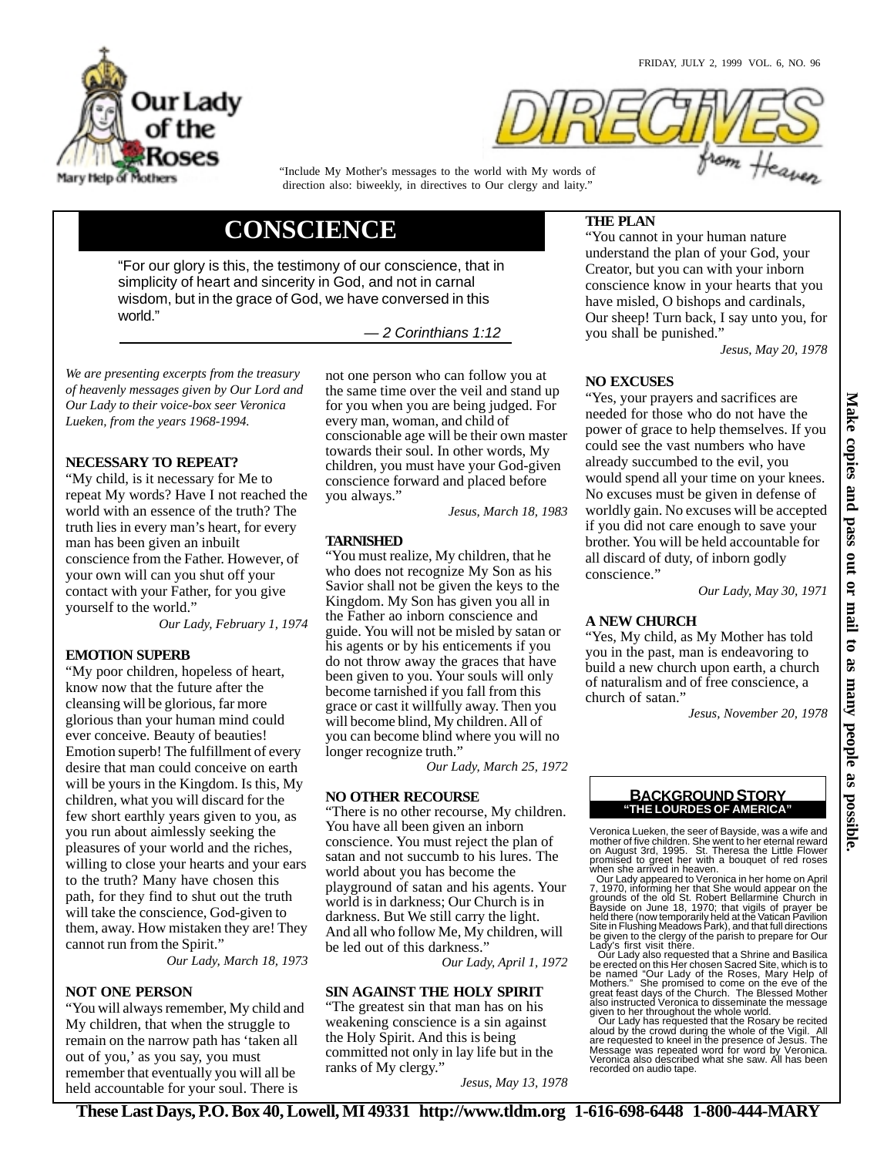

"Include My Mother's messages to the world with My words of direction also: biweekly, in directives to Our clergy and laity."

# **CONSCIENCE**

"For our glory is this, the testimony of our conscience, that in simplicity of heart and sincerity in God, and not in carnal wisdom, but in the grace of God, we have conversed in this world."

— 2 Corinthians 1:12

*We are presenting excerpts from the treasury of heavenly messages given by Our Lord and Our Lady to their voice-box seer Veronica Lueken, from the years 1968-1994.*

# **NECESSARY TO REPEAT?**

"My child, is it necessary for Me to repeat My words? Have I not reached the world with an essence of the truth? The truth lies in every man's heart, for every man has been given an inbuilt conscience from the Father. However, of your own will can you shut off your contact with your Father, for you give yourself to the world."

*Our Lady, February 1, 1974*

## **EMOTION SUPERB**

"My poor children, hopeless of heart, know now that the future after the cleansing will be glorious, far more glorious than your human mind could ever conceive. Beauty of beauties! Emotion superb! The fulfillment of every desire that man could conceive on earth will be yours in the Kingdom. Is this, My children, what you will discard for the few short earthly years given to you, as you run about aimlessly seeking the pleasures of your world and the riches, willing to close your hearts and your ears to the truth? Many have chosen this path, for they find to shut out the truth will take the conscience, God-given to them, away. How mistaken they are! They cannot run from the Spirit."

*Our Lady, March 18, 1973*

## **NOT ONE PERSON**

"You will always remember, My child and My children, that when the struggle to remain on the narrow path has 'taken all out of you,' as you say, you must remember that eventually you will all be held accountable for your soul. There is

not one person who can follow you at the same time over the veil and stand up for you when you are being judged. For every man, woman, and child of conscionable age will be their own master towards their soul. In other words, My children, you must have your God-given conscience forward and placed before you always."

*Jesus, March 18, 1983*

#### **TARNISHED**

"You must realize, My children, that he who does not recognize My Son as his Savior shall not be given the keys to the Kingdom. My Son has given you all in the Father ao inborn conscience and guide. You will not be misled by satan or his agents or by his enticements if you do not throw away the graces that have been given to you. Your souls will only become tarnished if you fall from this grace or cast it willfully away. Then you will become blind, My children. All of you can become blind where you will no longer recognize truth."

*Our Lady, March 25, 1972*

## **NO OTHER RECOURSE**

"There is no other recourse, My children. You have all been given an inborn conscience. You must reject the plan of satan and not succumb to his lures. The world about you has become the playground of satan and his agents. Your world is in darkness; Our Church is in darkness. But We still carry the light. And all who follow Me, My children, will be led out of this darkness."

*Our Lady, April 1, 1972*

# **SIN AGAINST THE HOLY SPIRIT**

"The greatest sin that man has on his weakening conscience is a sin against the Holy Spirit. And this is being committed not only in lay life but in the ranks of My clergy.'

*Jesus, May 13, 1978*

# **THE PLAN**

"You cannot in your human nature understand the plan of your God, your Creator, but you can with your inborn conscience know in your hearts that you have misled, O bishops and cardinals, Our sheep! Turn back, I say unto you, for you shall be punished."

*Jesus, May 20, 1978*

# **NO EXCUSES**

"Yes, your prayers and sacrifices are needed for those who do not have the power of grace to help themselves. If you could see the vast numbers who have already succumbed to the evil, you would spend all your time on your knees. No excuses must be given in defense of worldly gain. No excuses will be accepted if you did not care enough to save your brother. You will be held accountable for all discard of duty, of inborn godly conscience."

*Our Lady, May 30, 1971*

# **A NEW CHURCH**

"Yes, My child, as My Mother has told you in the past, man is endeavoring to build a new church upon earth, a church of naturalism and of free conscience, a church of satan."

*Jesus, November 20, 1978*

## **"THE LOURDES OF AMERICA" BACKGROUND STORY**

Veronica Lueken, the seer of Bayside, was a wife and mother of five children. She went to her eternal reward<br>on August 3rd, 1995. St. Theresa the Little Flower<br>promised to greet her with a bouquet of red roses<br>when she arrived in heaven.<br>Our Lady appeared to Veronica in her

7, 1970, informing her that She would appear on the<br>grounds of the old St. Robert Bellarmine Church in<br>Bayside on June 18, 1970; that vigils of prayer be<br>held there (now temporarily held at the Vatican Pavilion<br>Site in Flu

Lady's first visit there.<br>Cour Lady also requested that a Shrine and Basilica<br>be erected on this Her chosen Sacred Site, which is to<br>be named "Our Lady of the Roses, Mary Help of<br>Mothers." She promised to come on the eve o given to her throughout the whole world. Our Lady has requested that the Rosary be recited

aloud by the crowd during the whole of the Vigil. All are requested to kneel in the presence of Jesus. The Message was repeated word for word by Veronica. Veronica also described what she saw. All has been recorded on audio tape.